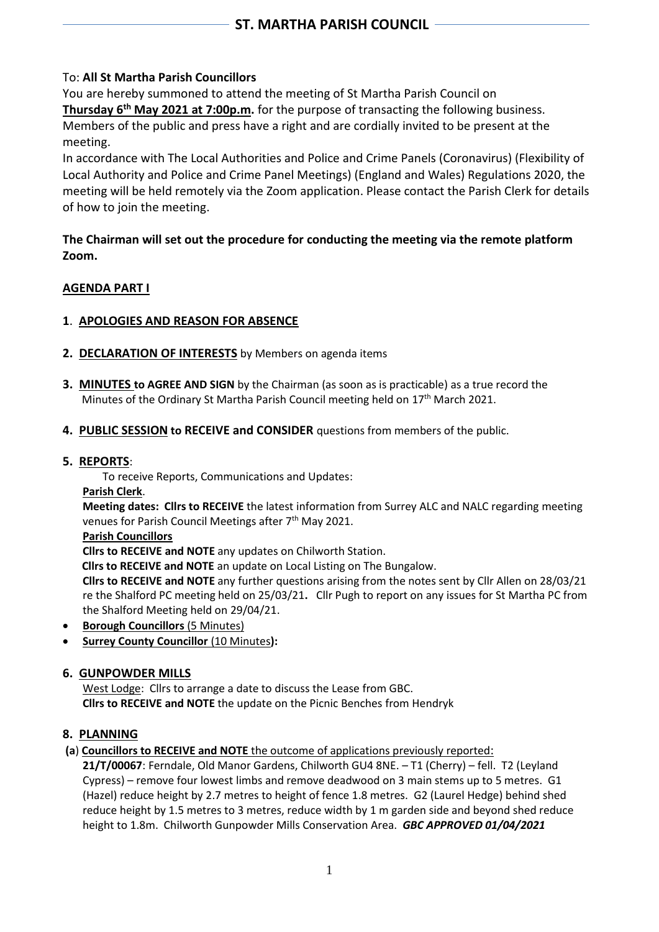## To: **All St Martha Parish Councillors**

You are hereby summoned to attend the meeting of St Martha Parish Council on **Thursday 6th May 2021 at 7:00p.m.** for the purpose of transacting the following business. Members of the public and press have a right and are cordially invited to be present at the meeting.

In accordance with The Local Authorities and Police and Crime Panels (Coronavirus) (Flexibility of Local Authority and Police and Crime Panel Meetings) (England and Wales) Regulations 2020, the meeting will be held remotely via the Zoom application. Please contact the Parish Clerk for details of how to join the meeting.

## **The Chairman will set out the procedure for conducting the meeting via the remote platform Zoom.**

# **AGENDA PART I**

# **1**. **APOLOGIES AND REASON FOR ABSENCE**

- **2. DECLARATION OF INTERESTS** by Members on agenda items
- **3. MINUTES to AGREE AND SIGN** by the Chairman (as soon as is practicable) as a true record the Minutes of the Ordinary St Martha Parish Council meeting held on  $17<sup>th</sup>$  March 2021.
- **4. PUBLIC SESSION to RECEIVE and CONSIDER** questions from members of the public.

### **5. REPORTS**:

To receive Reports, Communications and Updates:

**Parish Clerk**.

**Meeting dates: Cllrs to RECEIVE** the latest information from Surrey ALC and NALC regarding meeting venues for Parish Council Meetings after 7<sup>th</sup> May 2021.

**Parish Councillors**

**Cllrs to RECEIVE and NOTE** any updates on Chilworth Station.

 **Cllrs to RECEIVE and NOTE** an update on Local Listing on The Bungalow.

**Cllrs to RECEIVE and NOTE** any further questions arising from the notes sent by Cllr Allen on 28/03/21 re the Shalford PC meeting held on 25/03/21**.** Cllr Pugh to report on any issues for St Martha PC from the Shalford Meeting held on 29/04/21.

- **Borough Councillors** (5 Minutes)
- **Surrey County Councillor** (10 Minutes**):**

## **6. GUNPOWDER MILLS**

West Lodge: Cllrs to arrange a date to discuss the Lease from GBC. **Cllrs to RECEIVE and NOTE** the update on the Picnic Benches from Hendryk

## **8. PLANNING**

## **(a**) **Councillors to RECEIVE and NOTE** the outcome of applications previously reported:

**21/T/00067**: Ferndale, Old Manor Gardens, Chilworth GU4 8NE. – T1 (Cherry) – fell. T2 (Leyland Cypress) – remove four lowest limbs and remove deadwood on 3 main stems up to 5 metres. G1 (Hazel) reduce height by 2.7 metres to height of fence 1.8 metres. G2 (Laurel Hedge) behind shed reduce height by 1.5 metres to 3 metres, reduce width by 1 m garden side and beyond shed reduce height to 1.8m. Chilworth Gunpowder Mills Conservation Area. *GBC APPROVED 01/04/2021*